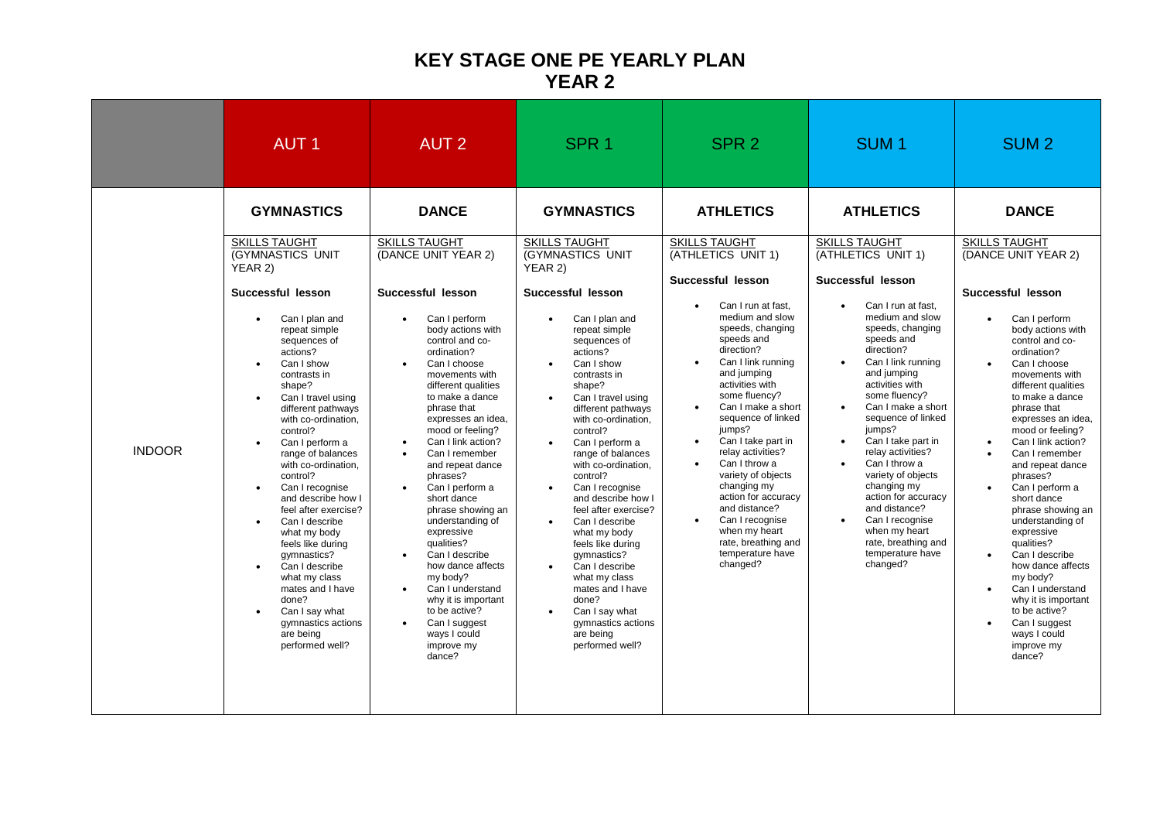## **KEY STAGE ONE PE YEARLY PLAN YEAR 2**

|               | <b>AUT1</b>                                                                                                                                                                                                                                                                                                                                                                                                                                                                                                                                                                                                                                                                                                                 | <b>AUT 2</b>                                                                                                                                                                                                                                                                                                                                                                                                                                                                                                                                                                                                                                                                                                                                                 | SPR <sub>1</sub>                                                                                                                                                                                                                                                                                                                                                                                                                                                                                                                                                                                                                                                        | SPR <sub>2</sub>                                                                                                                                                                                                                                                                                                                                                                                                                                                                                                                                                                                                              | SUM <sub>1</sub>                                                                                                                                                                                                                                                                                                                                                                                                                                                                                                                                                                                                 | SUM <sub>2</sub>                                                                                                                                                                                                                                                                                                                                                                                                                                                                                                                                                                                                                                                                                                                   |
|---------------|-----------------------------------------------------------------------------------------------------------------------------------------------------------------------------------------------------------------------------------------------------------------------------------------------------------------------------------------------------------------------------------------------------------------------------------------------------------------------------------------------------------------------------------------------------------------------------------------------------------------------------------------------------------------------------------------------------------------------------|--------------------------------------------------------------------------------------------------------------------------------------------------------------------------------------------------------------------------------------------------------------------------------------------------------------------------------------------------------------------------------------------------------------------------------------------------------------------------------------------------------------------------------------------------------------------------------------------------------------------------------------------------------------------------------------------------------------------------------------------------------------|-------------------------------------------------------------------------------------------------------------------------------------------------------------------------------------------------------------------------------------------------------------------------------------------------------------------------------------------------------------------------------------------------------------------------------------------------------------------------------------------------------------------------------------------------------------------------------------------------------------------------------------------------------------------------|-------------------------------------------------------------------------------------------------------------------------------------------------------------------------------------------------------------------------------------------------------------------------------------------------------------------------------------------------------------------------------------------------------------------------------------------------------------------------------------------------------------------------------------------------------------------------------------------------------------------------------|------------------------------------------------------------------------------------------------------------------------------------------------------------------------------------------------------------------------------------------------------------------------------------------------------------------------------------------------------------------------------------------------------------------------------------------------------------------------------------------------------------------------------------------------------------------------------------------------------------------|------------------------------------------------------------------------------------------------------------------------------------------------------------------------------------------------------------------------------------------------------------------------------------------------------------------------------------------------------------------------------------------------------------------------------------------------------------------------------------------------------------------------------------------------------------------------------------------------------------------------------------------------------------------------------------------------------------------------------------|
| <b>INDOOR</b> | <b>GYMNASTICS</b><br><b>SKILLS TAUGHT</b><br>(GYMNASTICS UNIT<br>YEAR 2)<br>Successful lesson<br>Can I plan and<br>$\bullet$<br>repeat simple<br>sequences of<br>actions?<br>Can I show<br>contrasts in<br>shape?<br>Can I travel using<br>$\bullet$<br>different pathways<br>with co-ordination,<br>control?<br>Can I perform a<br>$\bullet$<br>range of balances<br>with co-ordination,<br>control?<br>Can I recognise<br>$\bullet$<br>and describe how I<br>feel after exercise?<br>Can I describe<br>$\bullet$<br>what my body<br>feels like during<br>gymnastics?<br>Can I describe<br>$\bullet$<br>what my class<br>mates and I have<br>done?<br>Can I say what<br>gymnastics actions<br>are being<br>performed well? | <b>DANCE</b><br><b>SKILLS TAUGHT</b><br>(DANCE UNIT YEAR 2)<br>Successful lesson<br>Can I perform<br>$\bullet$<br>body actions with<br>control and co-<br>ordination?<br>Can I choose<br>$\bullet$<br>movements with<br>different qualities<br>to make a dance<br>phrase that<br>expresses an idea,<br>mood or feeling?<br>Can I link action?<br>$\bullet$<br>Can I remember<br>$\bullet$<br>and repeat dance<br>phrases?<br>Can I perform a<br>$\bullet$<br>short dance<br>phrase showing an<br>understanding of<br>expressive<br>qualities?<br>Can I describe<br>$\bullet$<br>how dance affects<br>my body?<br>Can I understand<br>$\bullet$<br>why it is important<br>to be active?<br>Can I suggest<br>$\bullet$<br>ways I could<br>improve my<br>dance? | <b>GYMNASTICS</b><br><b>SKILLS TAUGHT</b><br>(GYMNASTICS UNIT<br>YEAR 2)<br>Successful lesson<br>Can I plan and<br>repeat simple<br>sequences of<br>actions?<br>Can I show<br>contrasts in<br>shape?<br>Can I travel using<br>$\bullet$<br>different pathways<br>with co-ordination,<br>control?<br>Can I perform a<br>range of balances<br>with co-ordination,<br>control?<br>Can I recognise<br>$\bullet$<br>and describe how I<br>feel after exercise?<br>Can I describe<br>what my body<br>feels like during<br>gymnastics?<br>Can I describe<br>what my class<br>mates and I have<br>done?<br>Can I say what<br>gymnastics actions<br>are being<br>performed well? | <b>ATHLETICS</b><br><b>SKILLS TAUGHT</b><br>(ATHLETICS UNIT 1)<br>Successful lesson<br>Can I run at fast.<br>$\bullet$<br>medium and slow<br>speeds, changing<br>speeds and<br>direction?<br>Can I link running<br>$\bullet$<br>and jumping<br>activities with<br>some fluency?<br>Can I make a short<br>$\bullet$<br>sequence of linked<br>jumps?<br>Can I take part in<br>$\bullet$<br>relay activities?<br>Can I throw a<br>$\bullet$<br>variety of objects<br>changing my<br>action for accuracy<br>and distance?<br>Can I recognise<br>$\bullet$<br>when my heart<br>rate, breathing and<br>temperature have<br>changed? | <b>ATHLETICS</b><br><b>SKILLS TAUGHT</b><br>(ATHLETICS UNIT 1)<br>Successful lesson<br>Can I run at fast.<br>$\bullet$<br>medium and slow<br>speeds, changing<br>speeds and<br>direction?<br>Can I link running<br>and jumping<br>activities with<br>some fluency?<br>Can I make a short<br>$\bullet$<br>sequence of linked<br>jumps?<br>Can I take part in<br>$\bullet$<br>relay activities?<br>Can I throw a<br>$\bullet$<br>variety of objects<br>changing my<br>action for accuracy<br>and distance?<br>Can I recognise<br>$\bullet$<br>when my heart<br>rate, breathing and<br>temperature have<br>changed? | <b>DANCE</b><br><b>SKILLS TAUGHT</b><br>(DANCE UNIT YEAR 2)<br>Successful lesson<br>Can I perform<br>$\bullet$<br>body actions with<br>control and co-<br>ordination?<br>Can I choose<br>$\bullet$<br>movements with<br>different qualities<br>to make a dance<br>phrase that<br>expresses an idea,<br>mood or feeling?<br>Can I link action?<br>Can I remember<br>and repeat dance<br>phrases?<br>Can I perform a<br>$\bullet$<br>short dance<br>phrase showing an<br>understanding of<br>expressive<br>qualities?<br>Can I describe<br>$\bullet$<br>how dance affects<br>my body?<br>Can I understand<br>$\bullet$<br>why it is important<br>to be active?<br>Can I suggest<br>$\bullet$<br>ways I could<br>improve my<br>dance? |